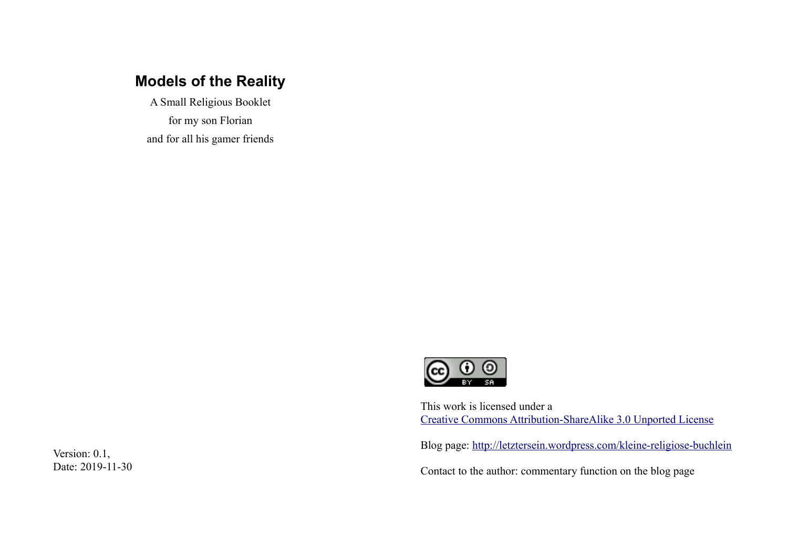## **Models of the Reality**

A Small Religious Booklet for my son Florian and for all his gamer friends

> ⊚ O  $\overline{\mathbf{BY}}$  $58$

This work is licensed under a [Creative Commons Attribution-ShareAlike 3.0 Unported License](http://creativecommons.org/licenses/by-sa/3.0)

Blog page:<http://letztersein.wordpress.com/kleine-religiose-buchlein>

Contact to the author: commentary function on the blog page

Version: 0.1, Date: 2019-11-30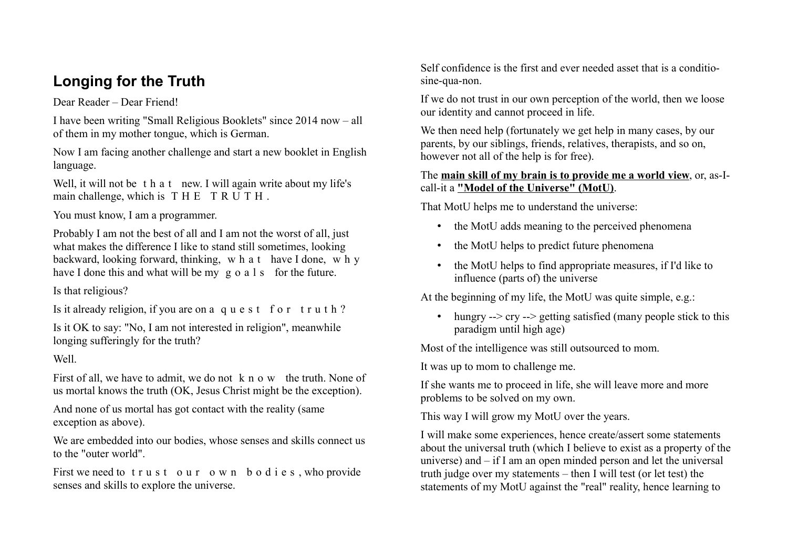## **Longing for the Truth**

Dear Reader – Dear Friend!

I have been writing "Small Religious Booklets" since 2014 now – all of them in my mother tongue, which is German.

Now I am facing another challenge and start a new booklet in English language.

Well, it will not be t h a t new. I will again write about my life's main challenge, which is T H E T R U T H.

You must know, I am a programmer.

Probably I am not the best of all and I am not the worst of all, just what makes the difference I like to stand still sometimes, looking backward, looking forward, thinking, w h a t have I done, w h y have I done this and what will be my g o a l s for the future.

Is that religious?

Is it already religion, if you are on a que s t f o r t r u t h?

Is it OK to say: "No, I am not interested in religion", meanwhile longing sufferingly for the truth?

Well.

First of all, we have to admit, we do not k n o w the truth. None of us mortal knows the truth (OK, Jesus Christ might be the exception).

And none of us mortal has got contact with the reality (same exception as above).

We are embedded into our bodies, whose senses and skills connect us to the "outer world".

First we need to trust our own bodies, who provide senses and skills to explore the universe.

Self confidence is the first and ever needed asset that is a conditiosine-qua-non.

If we do not trust in our own perception of the world, then we loose our identity and cannot proceed in life.

We then need help (fortunately we get help in many cases, by our parents, by our siblings, friends, relatives, therapists, and so on, however not all of the help is for free).

### The **main skill of my brain is to provide me a world view**, or, as-Icall-it a **"Model of the Universe" (MotU)**.

That MotU helps me to understand the universe:

- the MotU adds meaning to the perceived phenomena
- the MotU helps to predict future phenomena
- the MotU helps to find appropriate measures, if I'd like to influence (parts of) the universe

At the beginning of my life, the MotU was quite simple, e.g.:

• hungry  $\rightarrow$  cry  $\rightarrow$  getting satisfied (many people stick to this paradigm until high age)

Most of the intelligence was still outsourced to mom.

It was up to mom to challenge me.

If she wants me to proceed in life, she will leave more and more problems to be solved on my own.

This way I will grow my MotU over the years.

I will make some experiences, hence create/assert some statements about the universal truth (which I believe to exist as a property of the universe) and – if I am an open minded person and let the universal truth judge over my statements – then I will test (or let test) the statements of my MotU against the "real" reality, hence learning to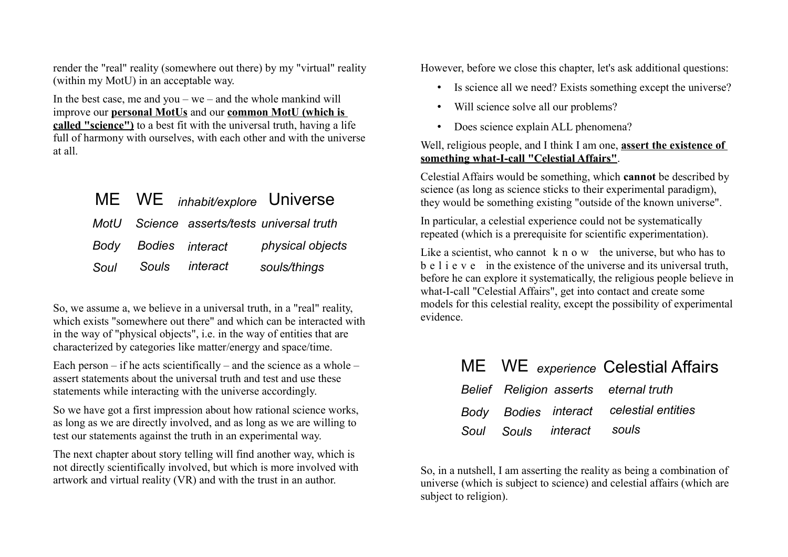render the "real" reality (somewhere out there) by my "virtual" reality (within my MotU) in an acceptable way.

In the best case, me and you – we – and the whole mankind will improve our **personal MotUs** and our **common MotU (which is called "science")** to a best fit with the universal truth, having a life full of harmony with ourselves, with each other and with the universe at all.

|      |                      | ME WE <i>inhabit/explore</i> Universe      |
|------|----------------------|--------------------------------------------|
|      |                      | MotU Science asserts/tests universal truth |
|      | Body Bodies interact | physical objects                           |
| Soul | Souls interact       | souls/things                               |

So, we assume a, we believe in a universal truth, in a "real" reality, which exists "somewhere out there" and which can be interacted with in the way of "physical objects", i.e. in the way of entities that are characterized by categories like matter/energy and space/time.

Each person – if he acts scientifically – and the science as a whole – assert statements about the universal truth and test and use these statements while interacting with the universe accordingly.

So we have got a first impression about how rational science works, as long as we are directly involved, and as long as we are willing to test our statements against the truth in an experimental way.

The next chapter about story telling will find another way, which is not directly scientifically involved, but which is more involved with artwork and virtual reality (VR) and with the trust in an author.

However, before we close this chapter, let's ask additional questions:

- Is science all we need? Exists something except the universe?
- Will science solve all our problems?
- Does science explain ALL phenomena?

#### Well, religious people, and I think I am one, **assert the existence of something what-I-call "Celestial Affairs"**.

Celestial Affairs would be something, which **cannot** be described by science (as long as science sticks to their experimental paradigm), they would be something existing "outside of the known universe".

In particular, a celestial experience could not be systematically repeated (which is a prerequisite for scientific experimentation).

Like a scientist, who cannot  $k$  n o w the universe, but who has to b e l i e v e in the existence of the universe and its universal truth, before he can explore it systematically, the religious people believe in what-I-call "Celestial Affairs", get into contact and create some models for this celestial reality, except the possibility of experimental evidence.

|  |                           | ME WE experience Celestial Affairs      |
|--|---------------------------|-----------------------------------------|
|  |                           | Belief Religion asserts eternal truth   |
|  |                           | Body Bodies interact celestial entities |
|  | Soul Souls interact souls |                                         |

So, in a nutshell, I am asserting the reality as being a combination of universe (which is subject to science) and celestial affairs (which are subject to religion).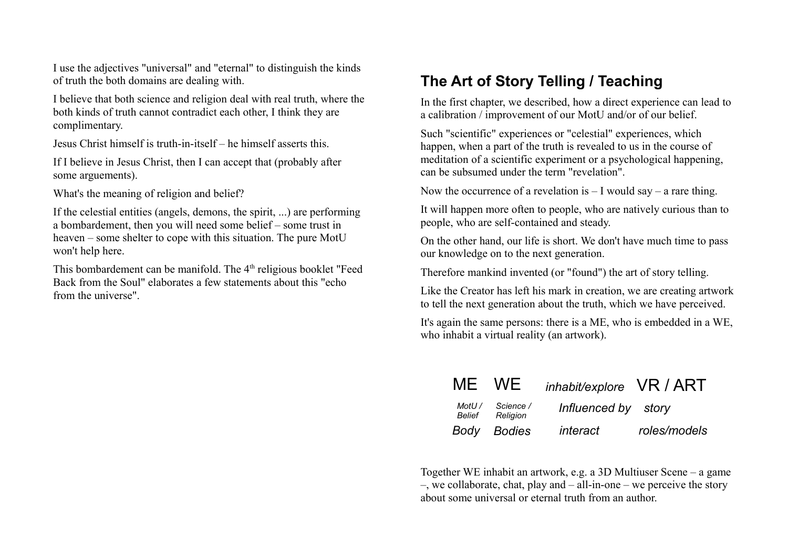I use the adjectives "universal" and "eternal" to distinguish the kinds of truth the both domains are dealing with.

I believe that both science and religion deal with real truth, where the both kinds of truth cannot contradict each other, I think they are complimentary.

Jesus Christ himself is truth-in-itself – he himself asserts this.

If I believe in Jesus Christ, then I can accept that (probably after some arguements).

What's the meaning of religion and belief?

If the celestial entities (angels, demons, the spirit, ...) are performing a bombardement, then you will need some belief – some trust in heaven – some shelter to cope with this situation. The pure MotU won't help here.

This bombardement can be manifold. The 4<sup>th</sup> religious booklet "Feed Back from the Soul" elaborates a few statements about this "echo from the universe".

# **The Art of Story Telling / Teaching**

In the first chapter, we described, how a direct experience can lead to a calibration / improvement of our MotU and/or of our belief.

Such "scientific" experiences or "celestial" experiences, which happen, when a part of the truth is revealed to us in the course of meditation of a scientific experiment or a psychological happening, can be subsumed under the term "revelation".

Now the occurrence of a revelation is  $-1$  would say  $-$  a rare thing.

It will happen more often to people, who are natively curious than to people, who are self-contained and steady.

On the other hand, our life is short. We don't have much time to pass our knowledge on to the next generation.

Therefore mankind invented (or "found") the art of story telling.

Like the Creator has left his mark in creation, we are creating artwork to tell the next generation about the truth, which we have perceived.

It's again the same persons: there is a ME, who is embedded in a WE, who inhabit a virtual reality (an artwork).

| ME WE            |                       | inhabit/explore VR / ART |              |
|------------------|-----------------------|--------------------------|--------------|
| MotU /<br>Belief | Science /<br>Religion | Influenced by story      |              |
|                  | Body Bodies           | interact                 | roles/models |

Together WE inhabit an artwork, e.g. a 3D Multiuser Scene – a game –, we collaborate, chat, play and – all-in-one – we perceive the story about some universal or eternal truth from an author.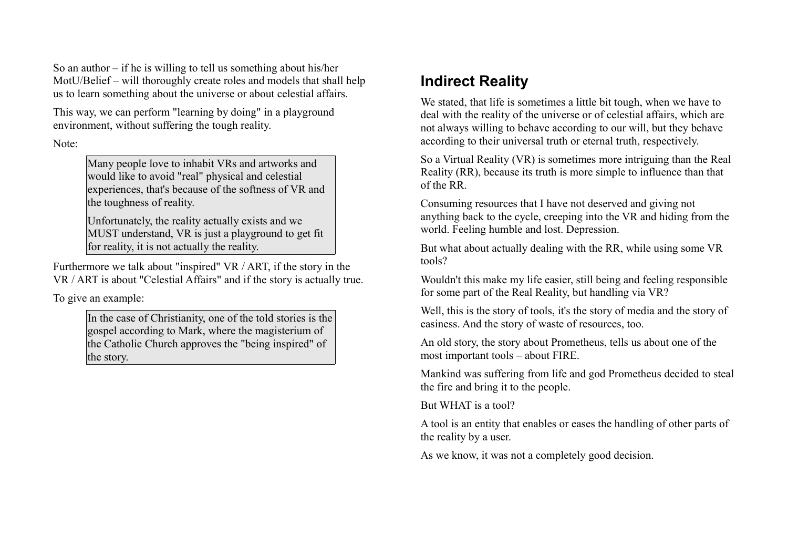So an author – if he is willing to tell us something about his/her MotU/Belief – will thoroughly create roles and models that shall help us to learn something about the universe or about celestial affairs.

This way, we can perform "learning by doing" in a playground environment, without suffering the tough reality.

Note:

Many people love to inhabit VRs and artworks and would like to avoid "real" physical and celestial experiences, that's because of the softness of VR and the toughness of reality.

Unfortunately, the reality actually exists and we MUST understand, VR is just a playground to get fit for reality, it is not actually the reality.

Furthermore we talk about "inspired" VR / ART, if the story in the VR / ART is about "Celestial Affairs" and if the story is actually true.

To give an example:

In the case of Christianity, one of the told stories is the gospel according to Mark, where the magisterium of the Catholic Church approves the "being inspired" of the story.

# **Indirect Reality**

We stated, that life is sometimes a little bit tough, when we have to deal with the reality of the universe or of celestial affairs, which are not always willing to behave according to our will, but they behave according to their universal truth or eternal truth, respectively.

So a Virtual Reality (VR) is sometimes more intriguing than the Real Reality (RR), because its truth is more simple to influence than that of the RR.

Consuming resources that I have not deserved and giving not anything back to the cycle, creeping into the VR and hiding from the world. Feeling humble and lost. Depression.

But what about actually dealing with the RR, while using some VR tools?

Wouldn't this make my life easier, still being and feeling responsible for some part of the Real Reality, but handling via VR?

Well, this is the story of tools, it's the story of media and the story of easiness. And the story of waste of resources, too.

An old story, the story about Prometheus, tells us about one of the most important tools – about FIRE.

Mankind was suffering from life and god Prometheus decided to steal the fire and bring it to the people.

But WHAT is a tool?

A tool is an entity that enables or eases the handling of other parts of the reality by a user.

As we know, it was not a completely good decision.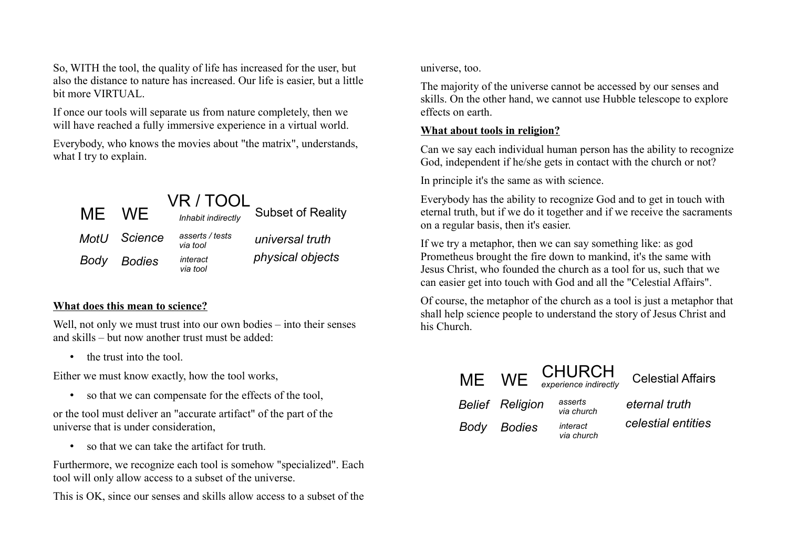So, WITH the tool, the quality of life has increased for the user, but also the distance to nature has increased. Our life is easier, but a little bit more VIRTUAL.

If once our tools will separate us from nature completely, then we will have reached a fully immersive experience in a virtual world.

Everybody, who knows the movies about "the matrix", understands, what I try to explain.



#### **What does this mean to science?**

Well, not only we must trust into our own bodies – into their senses and skills – but now another trust must be added:

• the trust into the tool.

Either we must know exactly, how the tool works,

• so that we can compensate for the effects of the tool,

or the tool must deliver an "accurate artifact" of the part of the universe that is under consideration,

• so that we can take the artifact for truth.

Furthermore, we recognize each tool is somehow "specialized". Each tool will only allow access to a subset of the universe.

This is OK, since our senses and skills allow access to a subset of the

universe, too.

The majority of the universe cannot be accessed by our senses and skills. On the other hand, we cannot use Hubble telescope to explore effects on earth.

## **What about tools in religion?**

Can we say each individual human person has the ability to recognize God, independent if he/she gets in contact with the church or not?

In principle it's the same as with science.

Everybody has the ability to recognize God and to get in touch with eternal truth, but if we do it together and if we receive the sacraments on a regular basis, then it's easier.

If we try a metaphor, then we can say something like: as god Prometheus brought the fire down to mankind, it's the same with Jesus Christ, who founded the church as a tool for us, such that we can easier get into touch with God and all the "Celestial Affairs".

Of course, the metaphor of the church as a tool is just a metaphor that shall help science people to understand the story of Jesus Christ and his Church.

| <b>MF</b> | <b>WE</b>              | <b>CHURCH</b><br>experience indirectly | <b>Celestial Affairs</b> |
|-----------|------------------------|----------------------------------------|--------------------------|
|           | <b>Belief</b> Religion | asserts<br>via church                  | eternal truth            |
|           | Body Bodies            | interact<br>via church                 | celestial entities       |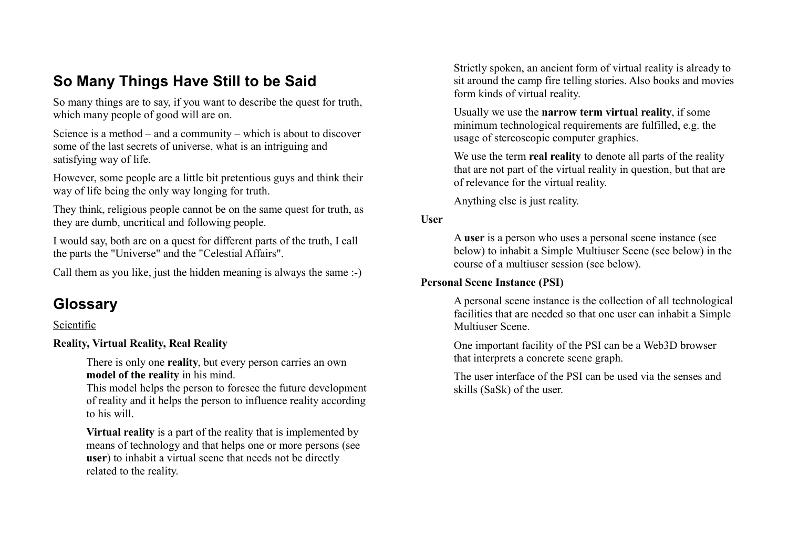## **So Many Things Have Still to be Said**

So many things are to say, if you want to describe the quest for truth, which many people of good will are on.

Science is a method – and a community – which is about to discover some of the last secrets of universe, what is an intriguing and satisfying way of life.

However, some people are a little bit pretentious guys and think their way of life being the only way longing for truth.

They think, religious people cannot be on the same quest for truth, as they are dumb, uncritical and following people.

I would say, both are on a quest for different parts of the truth, I call the parts the "Universe" and the "Celestial Affairs".

Call them as you like, just the hidden meaning is always the same :-)

# **Glossary**

#### Scientific

#### **Reality, Virtual Reality, Real Reality**

There is only one **reality**, but every person carries an own **model of the reality** in his mind.

This model helps the person to foresee the future development of reality and it helps the person to influence reality according to his will.

**Virtual reality** is a part of the reality that is implemented by means of technology and that helps one or more persons (see **user**) to inhabit a virtual scene that needs not be directly related to the reality.

Strictly spoken, an ancient form of virtual reality is already to sit around the camp fire telling stories. Also books and movies form kinds of virtual reality.

Usually we use the **narrow term virtual reality**, if some minimum technological requirements are fulfilled, e.g. the usage of stereoscopic computer graphics.

We use the term **real reality** to denote all parts of the reality that are not part of the virtual reality in question, but that are of relevance for the virtual reality.

Anything else is just reality.

#### **User**

A **user** is a person who uses a personal scene instance (see below) to inhabit a Simple Multiuser Scene (see below) in the course of a multiuser session (see below).

#### **Personal Scene Instance (PSI)**

A personal scene instance is the collection of all technological facilities that are needed so that one user can inhabit a Simple Multiuser Scene.

One important facility of the PSI can be a Web3D browser that interprets a concrete scene graph.

The user interface of the PSI can be used via the senses and skills (SaSk) of the user.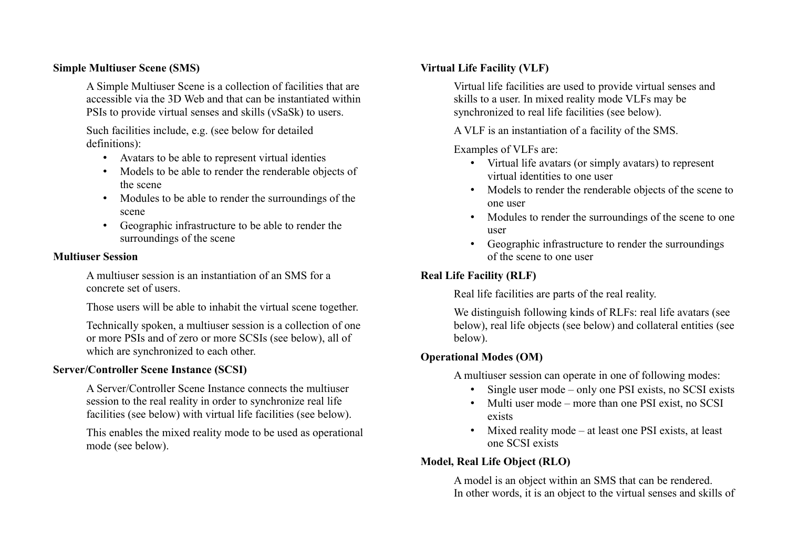#### **Simple Multiuser Scene (SMS)**

A Simple Multiuser Scene is a collection of facilities that are accessible via the 3D Web and that can be instantiated within PSIs to provide virtual senses and skills (vSaSk) to users.

Such facilities include, e.g. (see below for detailed definitions):

- Avatars to be able to represent virtual identies
- Models to be able to render the renderable objects of the scene
- Modules to be able to render the surroundings of the scene
- Geographic infrastructure to be able to render the surroundings of the scene

#### **Multiuser Session**

A multiuser session is an instantiation of an SMS for a concrete set of users.

Those users will be able to inhabit the virtual scene together.

Technically spoken, a multiuser session is a collection of one or more PSIs and of zero or more SCSIs (see below), all of which are synchronized to each other.

#### **Server/Controller Scene Instance (SCSI)**

A Server/Controller Scene Instance connects the multiuser session to the real reality in order to synchronize real life facilities (see below) with virtual life facilities (see below).

This enables the mixed reality mode to be used as operational mode (see below).

## **Virtual Life Facility (VLF)**

Virtual life facilities are used to provide virtual senses and skills to a user. In mixed reality mode VLFs may be synchronized to real life facilities (see below).

A VLF is an instantiation of a facility of the SMS.

Examples of VLFs are:

- Virtual life avatars (or simply avatars) to represent virtual identities to one user
- Models to render the renderable objects of the scene to one user
- Modules to render the surroundings of the scene to one user
- Geographic infrastructure to render the surroundings of the scene to one user

## **Real Life Facility (RLF)**

Real life facilities are parts of the real reality.

We distinguish following kinds of RLFs: real life avatars (see below), real life objects (see below) and collateral entities (see below).

#### **Operational Modes (OM)**

A multiuser session can operate in one of following modes:

- Single user mode only one PSI exists, no SCSI exists
- Multi user mode more than one PSI exist, no SCSI exists
- Mixed reality mode at least one PSI exists, at least one SCSI exists

## **Model, Real Life Object (RLO)**

A model is an object within an SMS that can be rendered. In other words, it is an object to the virtual senses and skills of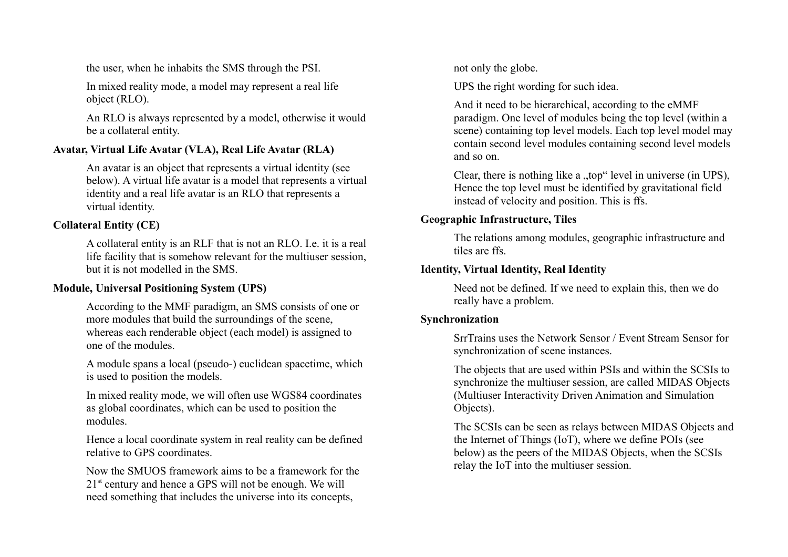the user, when he inhabits the SMS through the PSI.

In mixed reality mode, a model may represent a real life object (RLO).

An RLO is always represented by a model, otherwise it would be a collateral entity.

#### **Avatar, Virtual Life Avatar (VLA), Real Life Avatar (RLA)**

An avatar is an object that represents a virtual identity (see below). A virtual life avatar is a model that represents a virtual identity and a real life avatar is an RLO that represents a virtual identity.

#### **Collateral Entity (CE)**

A collateral entity is an RLF that is not an RLO. I.e. it is a real life facility that is somehow relevant for the multiuser session, but it is not modelled in the SMS.

#### **Module, Universal Positioning System (UPS)**

According to the MMF paradigm, an SMS consists of one or more modules that build the surroundings of the scene, whereas each renderable object (each model) is assigned to one of the modules.

A module spans a local (pseudo-) euclidean spacetime, which is used to position the models.

In mixed reality mode, we will often use WGS84 coordinates as global coordinates, which can be used to position the modules.

Hence a local coordinate system in real reality can be defined relative to GPS coordinates.

Now the SMUOS framework aims to be a framework for the  $21<sup>st</sup>$  century and hence a GPS will not be enough. We will need something that includes the universe into its concepts,

not only the globe.

UPS the right wording for such idea.

And it need to be hierarchical, according to the eMMF paradigm. One level of modules being the top level (within a scene) containing top level models. Each top level model may contain second level modules containing second level models and so on.

Clear, there is nothing like a "top" level in universe (in UPS), Hence the top level must be identified by gravitational field instead of velocity and position. This is ffs.

#### **Geographic Infrastructure, Tiles**

The relations among modules, geographic infrastructure and tiles are ffs.

#### **Identity, Virtual Identity, Real Identity**

Need not be defined. If we need to explain this, then we do really have a problem.

#### **Synchronization**

SrrTrains uses the Network Sensor / Event Stream Sensor for synchronization of scene instances.

The objects that are used within PSIs and within the SCSIs to synchronize the multiuser session, are called MIDAS Objects (Multiuser Interactivity Driven Animation and Simulation Objects).

The SCSIs can be seen as relays between MIDAS Objects and the Internet of Things (IoT), where we define POIs (see below) as the peers of the MIDAS Objects, when the SCSIs relay the IoT into the multiuser session.